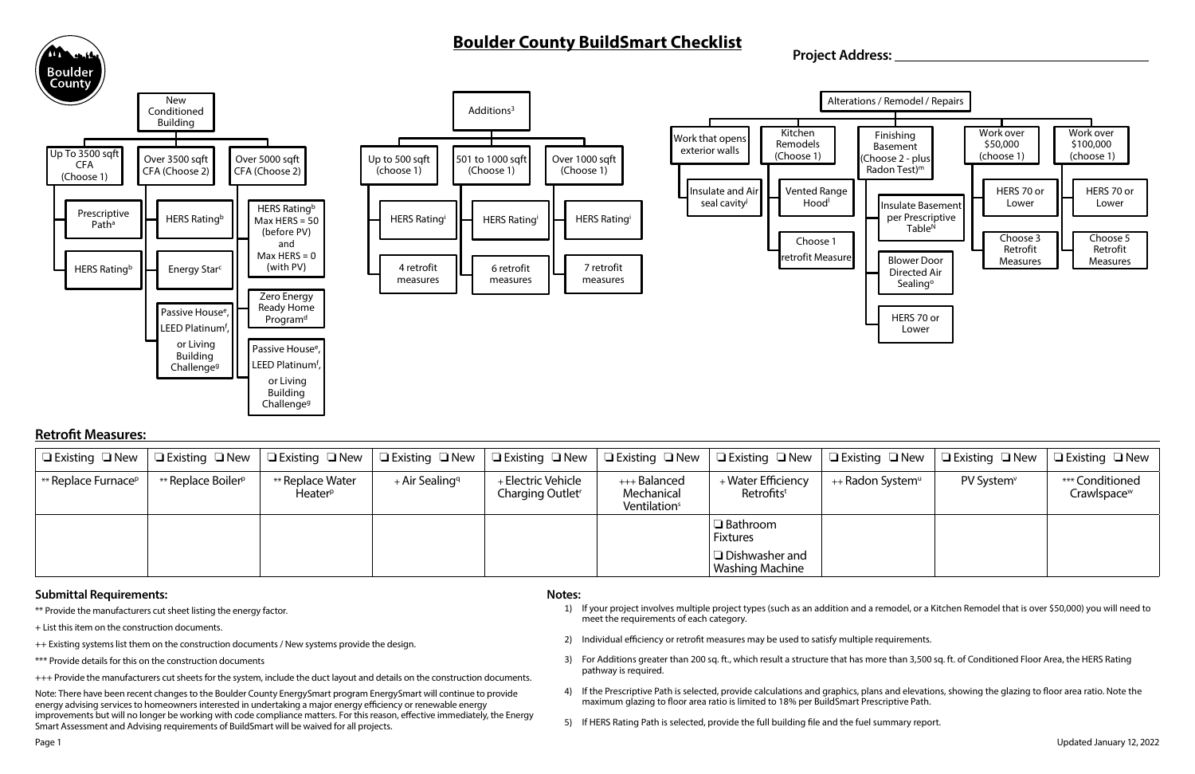# **Boulder County BuildSmart Checklist**



#### **Notes:**

- 1) If your project involves multiple project types (such as an addition and a remodel, or a Kitchen Remodel that is over \$50,000) you will need to meet the requirements of each category.
- 2) Individual efficiency or retrofit measures may be used to satisfy multiple requirements.
- 3) For Additions greater than 200 sq. ft., which result a structure that has more than 3,500 sq. ft. of Conditioned Floor Area, the HERS Rating pathway is required.
- 4) If the Prescriptive Path is selected, provide calculations and graphics, plans and elevations, showing the glazing to floor area ratio. Note the maximum glazing to floor area ratio is limited to 18% per BuildSmart Prescriptive Path.
- 5) If HERS Rating Path is selected, provide the full building file and the fuel summary report.

## **Retrofit Measures:**

### **Submittal Requirements:**

| $\Box$ Existing $\Box$ New      | $\Box$ Existing $\Box$ New     | $\Box$ Existing $\Box$ New              | $\Box$ Existing $\Box$ New $\parallel$ | $\Box$ Existing $\Box$ New                         | $\Box$ Existing $\Box$ New $\parallel$                 | $\Box$ Existing $\Box$ New                   | $\Box$ Existing $\Box$ New   | $\Box$ Existing $\Box$ New | $\Box$ Existing $\Box$ New                 |
|---------------------------------|--------------------------------|-----------------------------------------|----------------------------------------|----------------------------------------------------|--------------------------------------------------------|----------------------------------------------|------------------------------|----------------------------|--------------------------------------------|
| ** Replace Furnace <sup>p</sup> | ** Replace Boiler <sup>p</sup> | ** Replace Water<br>Heater <sup>p</sup> | + Air Sealing <sup>q</sup>             | + Electric Vehicle<br>Charging Outlet <sup>r</sup> | +++ Balanced<br>Mechanical<br>Ventilation <sup>s</sup> | + Water Efficiency<br>Retrofits <sup>t</sup> | ++ Radon System <sup>u</sup> | PV System <sup>v</sup>     | *** Conditioned<br>Crawlspace <sup>w</sup> |
|                                 |                                |                                         |                                        |                                                    |                                                        | $\Box$ Bathroom<br><b>Fixtures</b>           |                              |                            |                                            |
|                                 |                                |                                         |                                        |                                                    |                                                        | ∣ □ Dishwasher and<br>Washing Machine        |                              |                            |                                            |

- \*\* Provide the manufacturers cut sheet listing the energy factor.
- + List this item on the construction documents.
- ++ Existing systems list them on the construction documents / New systems provide the design.
- \*\*\* Provide details for this on the construction documents
- +++ Provide the manufacturers cut sheets for the system, include the duct layout and details on the construction documents.

Note: There have been recent changes to the Boulder County EnergySmart program EnergySmart will continue to provide energy advising services to homeowners interested in undertaking a major energy efficiency or renewable energy improvements but will no longer be working with code compliance matters. For this reason, effective immediately, the Energy Smart Assessment and Advising requirements of BuildSmart will be waived for all projects.